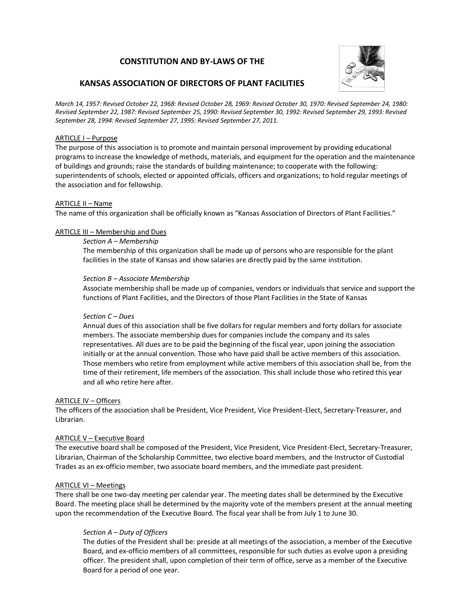# **CONSTITUTION AND BY-LAWS OF THE**



# **KANSAS ASSOCIATION OF DIRECTORS OF PLANT FACILITIES**

*March 14, 1957: Revised October 22, 1968: Revised October 28, 1969: Revised October 30, 1970: Revised September 24, 1980: Revised September 22, 1987: Revised September 25, 1990: Revised September 30, 1992: Revised September 29, 1993: Revised September 28, 1994: Revised September 27, 1995: Revised September 27, 2011.*

### ARTICLE I – Purpose

The purpose of this association is to promote and maintain personal improvement by providing educational programs to increase the knowledge of methods, materials, and equipment for the operation and the maintenance of buildings and grounds; raise the standards of building maintenance; to cooperate with the following: superintendents of schools, elected or appointed officials, officers and organizations; to hold regular meetings of the association and for fellowship.

### ARTICLE II – Name

The name of this organization shall be officially known as "Kansas Association of Directors of Plant Facilities."

### ARTICLE III – Membership and Dues

#### *Section A – Membership*

The membership of this organization shall be made up of persons who are responsible for the plant facilities in the state of Kansas and show salaries are directly paid by the same institution.

#### *Section B – Associate Membership*

Associate membership shall be made up of companies, vendors or individuals that service and support the functions of Plant Facilities, and the Directors of those Plant Facilities in the State of Kansas

### *Section C – Dues*

Annual dues of this association shall be five dollars for regular members and forty dollars for associate members. The associate membership dues for companies include the company and its sales representatives. All dues are to be paid the beginning of the fiscal year, upon joining the association initially or at the annual convention. Those who have paid shall be active members of this association. Those members who retire from employment while active members of this association shall be, from the time of their retirement, life members of the association. This shall include those who retired this year and all who retire here after.

#### ARTICLE IV – Officers

The officers of the association shall be President, Vice President, Vice President-Elect, Secretary-Treasurer, and Librarian.

## ARTICLE V – Executive Board

The executive board shall be composed of the President, Vice President, Vice President-Elect, Secretary-Treasurer, Librarian, Chairman of the Scholarship Committee, two elective board members, and the Instructor of Custodial Trades as an ex-officio member, two associate board members, and the immediate past president.

#### ARTICLE VI – Meetings

There shall be one two-day meeting per calendar year. The meeting dates shall be determined by the Executive Board. The meeting place shall be determined by the majority vote of the members present at the annual meeting upon the recommendation of the Executive Board. The fiscal year shall be from July 1 to June 30.

## *Section A – Duty of Officers*

The duties of the President shall be: preside at all meetings of the association, a member of the Executive Board, and ex-officio members of all committees, responsible for such duties as evolve upon a presiding officer. The president shall, upon completion of their term of office, serve as a member of the Executive Board for a period of one year.